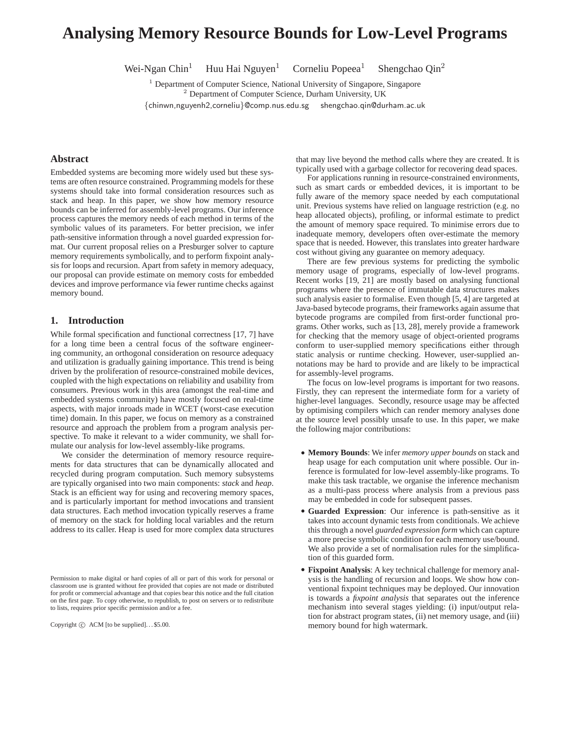# **Analysing Memory Resource Bounds for Low-Level Programs**

Wei-Ngan Chin<sup>1</sup> Huu Hai Nguyen<sup>1</sup> Corneliu Popeea<sup>1</sup> Shengchao Qin<sup>2</sup>

<sup>1</sup> Department of Computer Science, National University of Singapore, Singapore <sup>2</sup> Department of Computer Science, Durham University, UK {chinwn,nguyenh2,corneliu}@comp.nus.edu.sg shengchao.qin@durham.ac.uk

## **Abstract**

Embedded systems are becoming more widely used but these systems are often resource constrained. Programming models for these systems should take into formal consideration resources such as stack and heap. In this paper, we show how memory resource bounds can be inferred for assembly-level programs. Our inference process captures the memory needs of each method in terms of the symbolic values of its parameters. For better precision, we infer path-sensitive information through a novel guarded expression format. Our current proposal relies on a Presburger solver to capture memory requirements symbolically, and to perform fixpoint analysis for loops and recursion. Apart from safety in memory adequacy, our proposal can provide estimate on memory costs for embedded devices and improve performance via fewer runtime checks against memory bound.

## **1. Introduction**

While formal specification and functional correctness [17, 7] have for a long time been a central focus of the software engineering community, an orthogonal consideration on resource adequacy and utilization is gradually gaining importance. This trend is being driven by the proliferation of resource-constrained mobile devices, coupled with the high expectations on reliability and usability from consumers. Previous work in this area (amongst the real-time and embedded systems community) have mostly focused on real-time aspects, with major inroads made in WCET (worst-case execution time) domain. In this paper, we focus on memory as a constrained resource and approach the problem from a program analysis perspective. To make it relevant to a wider community, we shall formulate our analysis for low-level assembly-like programs.

We consider the determination of memory resource requirements for data structures that can be dynamically allocated and recycled during program computation. Such memory subsystems are typically organised into two main components: *stack* and *heap*. Stack is an efficient way for using and recovering memory spaces, and is particularly important for method invocations and transient data structures. Each method invocation typically reserves a frame of memory on the stack for holding local variables and the return address to its caller. Heap is used for more complex data structures

Copyright  $\odot$  ACM [to be supplied]... \$5.00.

that may live beyond the method calls where they are created. It is typically used with a garbage collector for recovering dead spaces.

For applications running in resource-constrained environments, such as smart cards or embedded devices, it is important to be fully aware of the memory space needed by each computational unit. Previous systems have relied on language restriction (e.g. no heap allocated objects), profiling, or informal estimate to predict the amount of memory space required. To minimise errors due to inadequate memory, developers often over-estimate the memory space that is needed. However, this translates into greater hardware cost without giving any guarantee on memory adequacy.

There are few previous systems for predicting the symbolic memory usage of programs, especially of low-level programs. Recent works [19, 21] are mostly based on analysing functional programs where the presence of immutable data structures makes such analysis easier to formalise. Even though [5, 4] are targeted at Java-based bytecode programs, their frameworks again assume that bytecode programs are compiled from first-order functional programs. Other works, such as [13, 28], merely provide a framework for checking that the memory usage of object-oriented programs conform to user-supplied memory specifications either through static analysis or runtime checking. However, user-supplied annotations may be hard to provide and are likely to be impractical for assembly-level programs.

The focus on low-level programs is important for two reasons. Firstly, they can represent the intermediate form for a variety of higher-level languages. Secondly, resource usage may be affected by optimising compilers which can render memory analyses done at the source level possibly unsafe to use. In this paper, we make the following major contributions:

- **Memory Bounds**: We infer *memory upper bounds* on stack and heap usage for each computation unit where possible. Our inference is formulated for low-level assembly-like programs. To make this task tractable, we organise the inference mechanism as a multi-pass process where analysis from a previous pass may be embedded in code for subsequent passes.
- **Guarded Expression**: Our inference is path-sensitive as it takes into account dynamic tests from conditionals. We achieve this through a novel *guarded expression form* which can capture a more precise symbolic condition for each memory use/bound. We also provide a set of normalisation rules for the simplification of this guarded form.
- **Fixpoint Analysis**: A key technical challenge for memory analysis is the handling of recursion and loops. We show how conventional fixpoint techniques may be deployed. Our innovation is towards a *fixpoint analysis* that separates out the inference mechanism into several stages yielding: (i) input/output relation for abstract program states, (ii) net memory usage, and (iii) memory bound for high watermark.

Permission to make digital or hard copies of all or part of this work for personal or classroom use is granted without fee provided that copies are not made or distributed for profit or commercial advantage and that copies bear this notice and the full citation on the first page. To copy otherwise, to republish, to post on servers or to redistribute to lists, requires prior specific permission and/or a fee.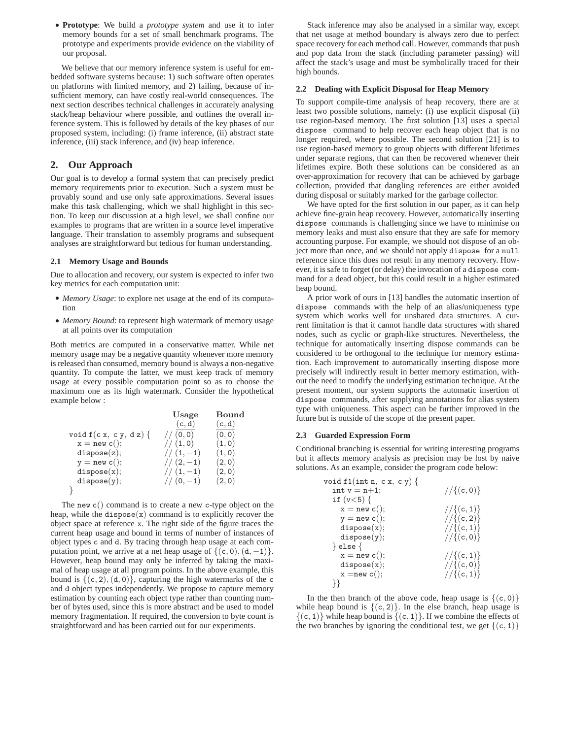• **Prototype**: We build a *prototype system* and use it to infer memory bounds for a set of small benchmark programs. The prototype and experiments provide evidence on the viability of our proposal.

We believe that our memory inference system is useful for embedded software systems because: 1) such software often operates on platforms with limited memory, and 2) failing, because of insufficient memory, can have costly real-world consequences. The next section describes technical challenges in accurately analysing stack/heap behaviour where possible, and outlines the overall inference system. This is followed by details of the key phases of our proposed system, including: (i) frame inference, (ii) abstract state inference, (iii) stack inference, and (iv) heap inference.

# **2. Our Approach**

Our goal is to develop a formal system that can precisely predict memory requirements prior to execution. Such a system must be provably sound and use only safe approximations. Several issues make this task challenging, which we shall highlight in this section. To keep our discussion at a high level, we shall confine our examples to programs that are written in a source level imperative language. Their translation to assembly programs and subsequent analyses are straightforward but tedious for human understanding.

## **2.1 Memory Usage and Bounds**

Due to allocation and recovery, our system is expected to infer two key metrics for each computation unit:

- *Memory Usage*: to explore net usage at the end of its computation
- *Memory Bound*: to represent high watermark of memory usage at all points over its computation

Both metrics are computed in a conservative matter. While net memory usage may be a negative quantity whenever more memory is released than consumed, memory bound is always a non-negative quantity. To compute the latter, we must keep track of memory usage at every possible computation point so as to choose the maximum one as its high watermark. Consider the hypothetical example below :

|                          | Usage        | Bound  |
|--------------------------|--------------|--------|
|                          | (c,d)        | (c,d)  |
| void $f(c x, c y, dz)$ { | (0, 0)       | (0, 0) |
| $x = new c();$           | // (1, 0)    | (1, 0) |
| dispose(z);              | $// (1, -1)$ | (1, 0) |
| $y = new c();$           | $// (2, -1)$ | (2, 0) |
| dispose(x);              | $// (1, -1)$ | (2, 0) |
| dispose(y);              | $// (0, -1)$ | (2, 0) |
|                          |              |        |

The new c() command is to create a new c-type object on the heap, while the dispose $(x)$  command is to explicitly recover the object space at reference x. The right side of the figure traces the current heap usage and bound in terms of number of instances of object types c and d. By tracing through heap usage at each computation point, we arrive at a net heap usage of  $\{(c, 0), (d, -1)\}.$ However, heap bound may only be inferred by taking the maximal of heap usage at all program points. In the above example, this bound is  $\{ (c, 2), (d, 0) \}$ , capturing the high watermarks of the c and d object types independently. We propose to capture memory estimation by counting each object type rather than counting number of bytes used, since this is more abstract and be used to model memory fragmentation. If required, the conversion to byte count is straightforward and has been carried out for our experiments.

Stack inference may also be analysed in a similar way, except that net usage at method boundary is always zero due to perfect space recovery for each method call. However, commands that push and pop data from the stack (including parameter passing) will affect the stack's usage and must be symbolically traced for their high bounds.

### **2.2 Dealing with Explicit Disposal for Heap Memory**

To support compile-time analysis of heap recovery, there are at least two possible solutions, namely: (i) use explicit disposal (ii) use region-based memory. The first solution [13] uses a special dispose command to help recover each heap object that is no longer required, where possible. The second solution [21] is to use region-based memory to group objects with different lifetimes under separate regions, that can then be recovered whenever their lifetimes expire. Both these solutions can be considered as an over-approximation for recovery that can be achieved by garbage collection, provided that dangling references are either avoided during disposal or suitably marked for the garbage collector.

We have opted for the first solution in our paper, as it can help achieve fine-grain heap recovery. However, automatically inserting dispose commands is challenging since we have to minimise on memory leaks and must also ensure that they are safe for memory accounting purpose. For example, we should not dispose of an object more than once, and we should not apply dispose for a null reference since this does not result in any memory recovery. However, it is safe to forget (or delay) the invocation of a dispose command for a dead object, but this could result in a higher estimated heap bound.

A prior work of ours in [13] handles the automatic insertion of dispose commands with the help of an alias/uniqueness type system which works well for unshared data structures. A current limitation is that it cannot handle data structures with shared nodes, such as cyclic or graph-like structures. Nevertheless, the technique for automatically inserting dispose commands can be considered to be orthogonal to the technique for memory estimation. Each improvement to automatically inserting dispose more precisely will indirectly result in better memory estimation, without the need to modify the underlying estimation technique. At the present moment, our system supports the automatic insertion of dispose commands, after supplying annotations for alias system type with uniqueness. This aspect can be further improved in the future but is outside of the scope of the present paper.

### **2.3 Guarded Expression Form**

Conditional branching is essential for writing interesting programs but it affects memory analysis as precision may be lost by naive solutions. As an example, consider the program code below:

| void f1(int n, c x, c y) { |                 |
|----------------------------|-----------------|
| int $v = n+1$ :            | $//\{(c, 0)\}\$ |
| if $(v<5)$ {               |                 |
| $x = new c();$             | $//\{(c, 1)\}\$ |
| $y = new c();$             | $// {(c, 2)}$   |
| dispose(x);                | $//\{(c, 1)\}\$ |
| dispose(y);                | $//$ {(c, 0)}   |
| $\}$ else $\{$             |                 |
| $x = new c();$             | $//\{(c, 1)\}\$ |
| dispose(x);                | $//\{(c, 0)\}\$ |
| $x = new c();$             | $//\{(c, 1)\}\$ |
|                            |                 |

In the then branch of the above code, heap usage is  $\{(c, 0)\}\$ while heap bound is  $\{(c, 2)\}\$ . In the else branch, heap usage is  $\{(c, 1)\}\$  while heap bound is  $\{(c, 1)\}\$ . If we combine the effects of the two branches by ignoring the conditional test, we get  $\{(c, 1)\}\$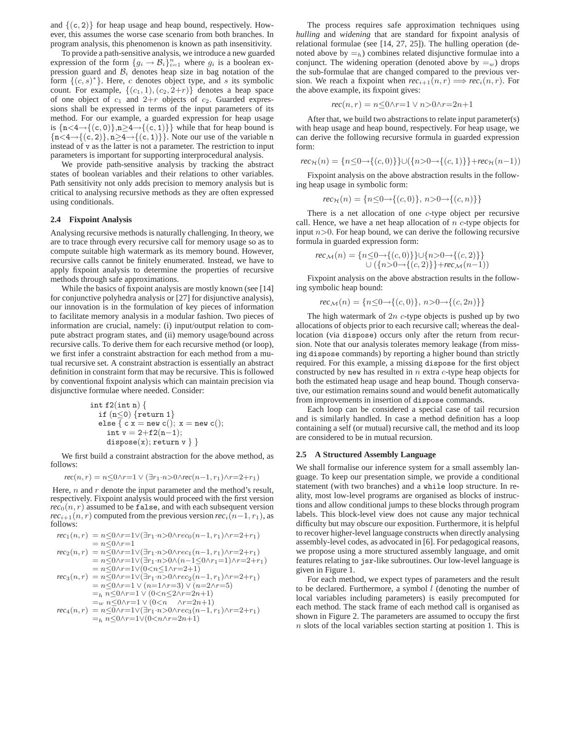and  $\{(c, 2)\}\)$  for heap usage and heap bound, respectively. However, this assumes the worse case scenario from both branches. In program analysis, this phenomenon is known as path insensitivity.

To provide a path-sensitive analysis, we introduce a new guarded expression of the form  $\{g_i \to \mathcal{B}_i\}_{i=1}^n$  where  $g_i$  is a boolean expression guard and  $B_i$  denotes heap size in bag notation of the form  $\{(c, s)^*\}$ . Here, c denotes object type, and s its symbolic count. For example,  $\{(c_1, 1), (c_2, 2+r)\}\$  denotes a heap space of one object of  $c_1$  and  $2+r$  objects of  $c_2$ . Guarded expressions shall be expressed in terms of the input parameters of its method. For our example, a guarded expression for heap usage is  $\{n < 4 \rightarrow \{(c, 0)\}, n \ge 4 \rightarrow \{(c, 1)\}\}\$  while that for heap bound is  ${n<}4 \rightarrow {(c, 2)}, n \geq 4 \rightarrow {(c, 1)}$ . Note our use of the variable n instead of v as the latter is not a parameter. The restriction to input parameters is important for supporting interprocedural analysis.

We provide path-sensitive analysis by tracking the abstract states of boolean variables and their relations to other variables. Path sensitivity not only adds precision to memory analysis but is critical to analysing recursive methods as they are often expressed using conditionals.

### **2.4 Fixpoint Analysis**

Analysing recursive methods is naturally challenging. In theory, we are to trace through every recursive call for memory usage so as to compute suitable high watermark as its memory bound. However, recursive calls cannot be finitely enumerated. Instead, we have to apply fixpoint analysis to determine the properties of recursive methods through safe approximations.

While the basics of fixpoint analysis are mostly known (see [14] for conjunctive polyhedra analysis or [27] for disjunctive analysis), our innovation is in the formulation of key pieces of information to facilitate memory analysis in a modular fashion. Two pieces of information are crucial, namely: (i) input/output relation to compute abstract program states, and (ii) memory usage/bound across recursive calls. To derive them for each recursive method (or loop), we first infer a constraint abstraction for each method from a mutual recursive set. A constraint abstraction is essentially an abstract definition in constraint form that may be recursive. This is followed by conventional fixpoint analysis which can maintain precision via disjunctive formulae where needed. Consider:

$$
\begin{array}{l} \text{int f2(int n) } \{ \\ \text{if (n \leq 0) } \{ \text{return 1} \} \\ \text{else } \{ \text{ c x = new c(); x = new c();} \\ \text{int v = 2+f2(n-1);} \\ \text{dispose(x); return v } \} \end{array}
$$

We first build a constraint abstraction for the above method, as follows:

 $rec(n, r) = n ≤ 0 ∧ r = 1 ∨ (∃r₁·n > 0 ∧ rec(n-1, r₁) ∧ r = 2+r₁)$ 

Here,  $n$  and  $r$  denote the input parameter and the method's result, respectively. Fixpoint analysis would proceed with the first version  $rec<sub>0</sub>(n, r)$  assumed to be false, and with each subsequent version  $rec_{i+1}(n, r)$  computed from the previous version  $rec_i(n-1, r_1)$ , as follows:

$$
rec_{1}(n,r) = n \le 0 \land r = 1 \lor (\exists r_{1} \cdot n > 0 \land rec_{0}(n-1,r_{1}) \land r = 2+r_{1})
$$
\n
$$
= n \le 0 \land r = 1
$$
\n
$$
rec_{2}(n,r) = n \le 0 \land r = 1 \lor (\exists r_{1} \cdot n > 0 \land rec_{1}(n-1,r_{1}) \land r = 2+r_{1})
$$
\n
$$
= n \le 0 \land r = 1 \lor (\exists r_{1} \cdot n > 0 \land (n-1 \le 0 \land r_{1} = 1) \land r = 2+r_{1})
$$
\n
$$
= n \le 0 \land r = 1 \lor (\exists r_{1} \cdot n > 0 \land rc = 2+1)
$$
\n
$$
= n \le 0 \land r = 1 \lor (\exists r_{1} \cdot n > 0 \land rc = 2(n-1,r_{1}) \land r = 2+r_{1})
$$
\n
$$
= n \le 0 \land r = 1 \lor (n = 1 \land r = 3) \lor (n = 2 \land r = 5)
$$
\n
$$
= n \land (\land r = 1 \lor (0 \le n \le 2 \land r = 2n+1))
$$
\n
$$
= w \land (\land r = 1 \lor (0 \le n \land r = 2n+1))
$$
\n
$$
= n \land (\land r = 1 \lor (\exists r_{1} \cdot n > 0 \land rec_{3}(n-1,r_{1}) \land r = 2+r_{1})
$$
\n
$$
= n \land (\land r = 1 \lor ((0 \le n \land r = 2n+1))
$$
\n
$$
= n \land (\land r = 1 \lor ((0 \le n \land r = 2n+1))
$$

The process requires safe approximation techniques using *hulling* and *widening* that are standard for fixpoint analysis of relational formulae (see [14, 27, 25]). The hulling operation (denoted above by  $=$ <sub>h</sub>) combines related disjunctive formulae into a conjunct. The widening operation (denoted above by  $=_w$ ) drops the sub-formulae that are changed compared to the previous version. We reach a fixpoint when  $rec_{i+1}(n, r) \Longrightarrow rec_i(n, r)$ . For the above example, its fixpoint gives:

$$
rec(n,r) = n \le 0 \land r = 1 \lor n > 0 \land r = 2n+1
$$

After that, we build two abstractions to relate input parameter(s) with heap usage and heap bound, respectively. For heap usage, we can derive the following recursive formula in guarded expression form:

$$
rec_{\mathcal{H}}(n) = \{n \leq 0 \to \{(c, 0)\}\} \cup (\{n > 0 \to \{(c, 1)\}\} + rec_{\mathcal{H}}(n-1))
$$

Fixpoint analysis on the above abstraction results in the following heap usage in symbolic form:

$$
rec_{\mathcal{H}}(n) = \{n \leq 0 \to \{(c, 0)\}, n > 0 \to \{(c, n)\}\}\
$$

There is a net allocation of one c-type object per recursive call. Hence, we have a net heap allocation of  $n$  c-type objects for input  $n>0$ . For heap bound, we can derive the following recursive formula in guarded expression form:

$$
rec_{\mathcal{M}}(n) = \{n \leq 0 \rightarrow \{(c, 0)\}\} \cup \{n > 0 \rightarrow \{(c, 2)\}\}\
$$

$$
\cup (\{n > 0 \rightarrow \{(c, 2)\}\} + rec_{\mathcal{M}}(n-1))
$$

Fixpoint analysis on the above abstraction results in the following symbolic heap bound:

 $rec_{\mathcal{M}}(n) = \{n \leq 0 \rightarrow \{(c, 0)\}, n > 0 \rightarrow \{(c, 2n)\}\}\$ 

The high watermark of  $2n$  c-type objects is pushed up by two allocations of objects prior to each recursive call; whereas the deallocation (via dispose) occurs only after the return from recursion. Note that our analysis tolerates memory leakage (from missing dispose commands) by reporting a higher bound than strictly required. For this example, a missing dispose for the first object constructed by new has resulted in  $n$  extra  $c$ -type heap objects for both the estimated heap usage and heap bound. Though conservative, our estimation remains sound and would benefit automatically from improvements in insertion of dispose commands.

Each loop can be considered a special case of tail recursion and is similarly handled. In case a method definition has a loop containing a self (or mutual) recursive call, the method and its loop are considered to be in mutual recursion.

#### **2.5 A Structured Assembly Language**

We shall formalise our inference system for a small assembly language. To keep our presentation simple, we provide a conditional statement (with two branches) and a while loop structure. In reality, most low-level programs are organised as blocks of instructions and allow conditional jumps to these blocks through program labels. This block-level view does not cause any major technical difficulty but may obscure our exposition. Furthermore, it is helpful to recover higher-level language constructs when directly analysing assembly-level codes, as advocated in [6]. For pedagogical reasons, we propose using a more structured assembly language, and omit features relating to jsr-like subroutines. Our low-level language is given in Figure 1.

For each method, we expect types of parameters and the result to be declared. Furthermore, a symbol  $l$  (denoting the number of local variables including parameters) is easily precomputed for each method. The stack frame of each method call is organised as shown in Figure 2. The parameters are assumed to occupy the first  $n$  slots of the local variables section starting at position 1. This is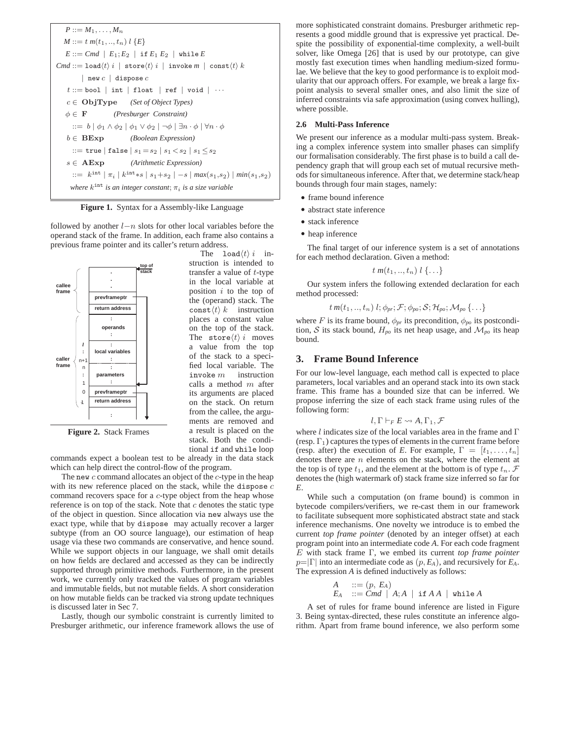```
P ::= M_1, \ldots, M_nM ::= t \, m(t_1, ..., t_n) \, l \, \{E\}E ::= Cmd \mid E_1; E_2 \mid \text{if } E_1 E_2 \mid \text{while } ECmd ::= load\langle t \rangle i | store\langle t \rangle i | invoke m | const\langle t \rangle k| new c | dispose ct ::= \text{bool} | int | float | ref | void | \cdotsc ∈ ObjType (Set of Object Types)
   φ ∈ F (Presburger Constraint)
       ::= b \mid \phi_1 \wedge \phi_2 \mid \phi_1 \vee \phi_2 \mid \neg \phi \mid \exists n \cdot \phi \mid \forall n \cdot \phib ∈ BExp (Boolean Expression)
      ::= true | false | s_1 = s_2 | s_1 < s_2 | s_1 \le s_2s ∈ AExp (Arithmetic Expression)
       ::= k<sup>int</sup> |π<sub>i</sub> | k<sup>int</sup> *s | s<sub>1</sub>+s<sub>2</sub> | −s | max(s<sub>1</sub>,s<sub>2</sub>) | min(s<sub>1</sub>,s<sub>2</sub>)where k
int is an integer constant; πi is a size variable
```
**Figure 1.** Syntax for a Assembly-like Language

followed by another l−n slots for other local variables before the operand stack of the frame. In addition, each frame also contains a previous frame pointer and its caller's return address.

> The load $\langle t \rangle$  i instruction is intended to transfer a value of  $t$ -type in the local variable at position  $i$  to the top of the (operand) stack. The const $\langle t \rangle$  k instruction places a constant value on the top of the stack. The store $\langle t \rangle$  *i* moves a value from the top of the stack to a specified local variable. The invoke  $m$  instruction calls a method m after its arguments are placed on the stack. On return from the callee, the arguments are removed and a result is placed on the stack. Both the conditional if and while loop





commands expect a boolean test to be already in the data stack which can help direct the control-flow of the program.

The new  $c$  command allocates an object of the  $c$ -type in the heap with its new reference placed on the stack, while the dispose  $c$ command recovers space for a c-type object from the heap whose reference is on top of the stack. Note that  $c$  denotes the static type of the object in question. Since allocation via new always use the exact type, while that by dispose may actually recover a larger subtype (from an OO source language), our estimation of heap usage via these two commands are conservative, and hence sound. While we support objects in our language, we shall omit details on how fields are declared and accessed as they can be indirectly supported through primitive methods. Furthermore, in the present work, we currently only tracked the values of program variables and immutable fields, but not mutable fields. A short consideration on how mutable fields can be tracked via strong update techniques is discussed later in Sec 7.

Lastly, though our symbolic constraint is currently limited to Presburger arithmetic, our inference framework allows the use of

more sophisticated constraint domains. Presburger arithmetic represents a good middle ground that is expressive yet practical. Despite the possibility of exponential-time complexity, a well-built solver, like Omega [26] that is used by our prototype, can give mostly fast execution times when handling medium-sized formulae. We believe that the key to good performance is to exploit modularity that our approach offers. For example, we break a large fixpoint analysis to several smaller ones, and also limit the size of inferred constraints via safe approximation (using convex hulling), where possible.

### **2.6 Multi-Pass Inference**

We present our inference as a modular multi-pass system. Breaking a complex inference system into smaller phases can simplify our formalisation considerably. The first phase is to build a call dependency graph that will group each set of mutual recursive methods for simultaneous inference. After that, we determine stack/heap bounds through four main stages, namely:

- frame bound inference
- abstract state inference
- stack inference
- heap inference

The final target of our inference system is a set of annotations for each method declaration. Given a method:

$$
t m(t_1,..,t_n) l \{... \}
$$

Our system infers the following extended declaration for each method processed:

$$
t m(t_1,..,t_n) l; \phi_{pr}; \mathcal{F}; \phi_{po}; \mathcal{S}; \mathcal{H}_{po}; \mathcal{M}_{po} \{... \}
$$

where F is its frame bound,  $\phi_{pr}$  its precondition,  $\phi_{po}$  its postcondition, S its stack bound, H*po* its net heap usage, and M*po* its heap bound.

## **3. Frame Bound Inference**

For our low-level language, each method call is expected to place parameters, local variables and an operand stack into its own stack frame. This frame has a bounded size that can be inferred. We propose inferring the size of each stack frame using rules of the following form:

$$
l,\Gamma \vdash_F E \leadsto A,\Gamma_1,\mathcal{F}
$$

where l indicates size of the local variables area in the frame and  $\Gamma$ (resp.  $\Gamma_1$ ) captures the types of elements in the current frame before (resp. after) the execution of *E*. For example,  $\Gamma = [t_1, \ldots, t_n]$ denotes there are  $n$  elements on the stack, where the element at the top is of type  $t_1$ , and the element at the bottom is of type  $t_n$ .  $\mathcal F$ denotes the (high watermark of) stack frame size inferred so far for *E*.

While such a computation (on frame bound) is common in bytecode compilers/verifiers, we re-cast them in our framework to facilitate subsequent more sophisticated abstract state and stack inference mechanisms. One novelty we introduce is to embed the current *top frame pointer* (denoted by an integer offset) at each program point into an intermediate code *A*. For each code fragment E with stack frame Γ, we embed its current *top frame pointer*  $p=|\Gamma|$  into an intermediate code as  $(p, E_A)$ , and recursively for  $E_A$ . The expression *A* is defined inductively as follows:

$$
A ::=(p, EA)
$$
  
\n
$$
EA ::= Cmd | A; A | if AA | while A
$$

A set of rules for frame bound inference are listed in Figure 3. Being syntax-directed, these rules constitute an inference algorithm. Apart from frame bound inference, we also perform some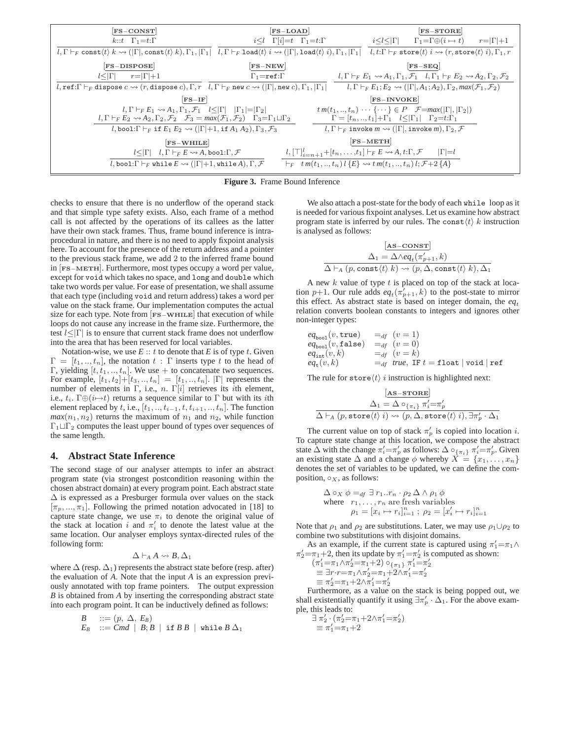

**Figure 3.** Frame Bound Inference

checks to ensure that there is no underflow of the operand stack and that simple type safety exists. Also, each frame of a method call is not affected by the operations of its callees as the latter have their own stack frames. Thus, frame bound inference is intraprocedural in nature, and there is no need to apply fixpoint analysis here. To account for the presence of the return address and a pointer to the previous stack frame, we add 2 to the inferred frame bound in [FS−METH]. Furthermore, most types occupy a word per value, except for void which takes no space, and long and double which take two words per value. For ease of presentation, we shall assume that each type (including void and return address) takes a word per value on the stack frame. Our implementation computes the actual size for each type. Note from [FS−WHILE] that execution of while loops do not cause any increase in the frame size. Furthermore, the test  $l \leq |\Gamma|$  is to ensure that current stack frame does not underflow into the area that has been reserved for local variables.

Notation-wise, we use  $E:: t$  to denote that  $E$  is of type  $t$ . Given  $\Gamma = [t_1, ..., t_n]$ , the notation  $t : \Gamma$  inserts type t to the head of Γ, yielding  $[t, t_1, \ldots, t_n]$ . We use + to concatenate two sequences. For example,  $[t_1, t_2] + [t_3, ..., t_n] = [t_1, ..., t_n]$ . |Γ| represents the number of elements in Γ, i.e., n.  $Γ[i]$  retrieves its *i*th element, i.e.,  $t_i$ .  $\Gamma \oplus (i \rightarrow t)$  returns a sequence similar to  $\Gamma$  but with its *i*th element replaced by t, i.e.,  $[t_1, ..., t_{i-1}, t, t_{i+1}, ..., t_n]$ . The function  $max(n_1, n_2)$  returns the maximum of  $n_1$  and  $n_2$ , while function  $\Gamma_1 \sqcup \Gamma_2$  computes the least upper bound of types over sequences of the same length.

### **4. Abstract State Inference**

The second stage of our analyser attempts to infer an abstract program state (via strongest postcondition reasoning within the chosen abstract domain) at every program point. Each abstract state  $\Delta$  is expressed as a Presburger formula over values on the stack  $[\pi_p, ..., \pi_1]$ . Following the primed notation advocated in [18] to capture state change, we use  $\pi_i$  to denote the original value of the stack at location i and  $\pi'$  to denote the latest value at the same location. Our analyser employs syntax-directed rules of the following form:

$$
\Delta \vdash_A A \leadsto B, \Delta_1
$$

where  $\Delta$  (resp.  $\Delta_1$ ) represents the abstract state before (resp. after) the evaluation of *A*. Note that the input *A* is an expression previously annotated with top frame pointers. The output expression *B* is obtained from *A* by inserting the corresponding abstract state into each program point. It can be inductively defined as follows:

$$
B : := (p, \Delta, E_B)
$$
  

$$
E_B : := Cmd \mid B; B \mid \text{if } BB \mid \text{while } B \Delta_1
$$

We also attach a post-state for the body of each while loop as it is needed for various fixpoint analyses. Let us examine how abstract program state is inferred by our rules. The const $\langle t \rangle$  k instruction is analysed as follows:

$$
\frac{[\text{As-consr}]}{\Delta_1 = \Delta \wedge eq_t(\pi'_{p+1}, k)}
$$

$$
\Delta \vdash_A (p, \text{const}(t) \ k) \leadsto (p, \Delta, \text{const}(t) \ k), \Delta_1
$$

A new  $k$  value of type  $t$  is placed on top of the stack at location *p*+1. Our rule adds  $eq_t(\pi_{p+1}^{\gamma}, k)$  to the post-state to mirror this effect. As abstract state is based on integer domain, the  $eq_t$ relation converts boolean constants to integers and ignores other non-integer types:

$$
eqbool(v, true) =df (v = 1)eqbool(v, false) =df (v = 0)eqint(v, k) =df (v = k)eqt(v, k) =df true, IF t = float | void | ref
$$

The rule for  $\text{store}\langle t \rangle$  *i* instruction is highlighted next:

$$
\frac{\text{[As-space]}}{\Delta_1 = \Delta \circ_{\{\pi_i\}} \pi'_i = \pi'_p}
$$

$$
\Delta \vdash_A (p, \text{store} \langle t \rangle i) \leadsto (p, \Delta, \text{store} \langle t \rangle i), \exists \pi'_p \cdot \Delta_1
$$

The current value on top of stack  $\pi_p'$  is copied into location *i*. To capture state change at this location, we compose the abstract state  $\Delta$  with the change  $\pi'_i = \pi'_p$  as follows:  $\Delta \circ_{\{\pi_i\}} \pi'_i = \pi'_p$ . Given an existing state  $\Delta$  and a change  $\phi$  whereby  $\overrightarrow{X} = \{x_1, \ldots, x_n\}$ denotes the set of variables to be updated, we can define the composition,  $\circ_X$ , as follows:

$$
\Delta \circ_X \phi =_{df} \exists r_1..r_n \cdot \rho_2 \Delta \wedge \rho_1 \phi
$$
  
where  $r_1, ..., r_n$  are fresh variables  

$$
\rho_1 = [x_i \mapsto r_i]_{i=1}^n; \ \rho_2 = [x_i' \mapsto r_i]_{i=1}^n
$$

Note that  $\rho_1$  and  $\rho_2$  are substitutions. Later, we may use  $\rho_1 \cup \rho_2$  to combine two substitutions with disjoint domains.

As an example, if the current state is captured using  $\pi'_1 = \pi_1 \wedge$  $\pi'_2 = \pi_1 + 2$ , then its update by  $\pi'_1 = \pi'_2$  is computed as shown:

$$
(\pi_1' = \pi_1 \land \pi_2' = \pi_1 + 2) \circ_{\{\pi_1\}} \pi_1' = \pi_2'
$$
  
\n
$$
\equiv \exists r \cdot r = \pi_1 \land \pi_2' = \pi_1 + 2 \land \pi_1' = \pi_2'
$$
  
\n
$$
\equiv \pi_2' = \pi_1 + 2 \land \pi_1' = \pi_2'
$$

Furthermore, as a value on the stack is being popped out, we shall existentially quantify it using  $\exists \pi'_p \cdot \Delta_1$ . For the above example, this leads to:

$$
\exists \pi'_2 \cdot (\pi'_2 = \pi_1 + 2 \wedge \pi'_1 = \pi'_2) \n\equiv \pi'_1 = \pi_1 + 2
$$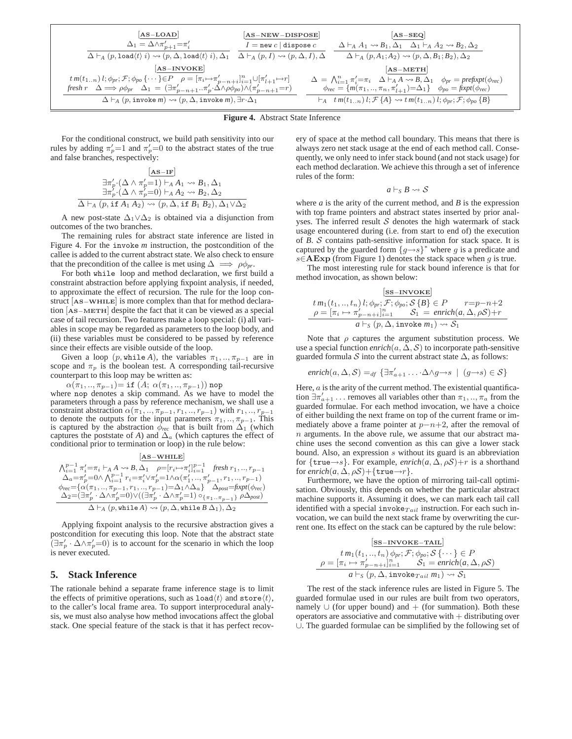$$
\frac{[{\bf As-LOAD}]}{\Delta\vdash_{A}(p,{\tt load}\langle t\rangle\: i)\leadsto (p,\Delta,{\tt load}\langle t\rangle\: i),\Delta_1} \quad \frac{[{\bf As-NEW-DISPOSE}]}{\Delta\vdash_{A}(p,I)\leadsto (p,\Delta,{\tt load}\langle t\rangle\: i),\Delta_1} \quad \frac{I={\tt new\:c\:|\:dispose\:c\:} \quad \Delta\vdash_{A} A_1 \leadsto B_1, \Delta_1 \Delta_1 \vdash_{A} A_2 \leadsto B_2, \Delta_2}{\Delta\vdash_{A}(p,A_1;A_2)\leadsto (p,\Delta,B_1;B_2),\Delta_2} \quad \frac{[{\bf As-INVOKE}]}{\Delta\vdash_{A}(p,A_1;A_2)\leadsto (p,\Delta,B_1;B_2),\Delta_2} \quad \frac{[{\bf As-IVOKE}]}{\Delta\vdash_{A}(p,A_1;A_2)\leadsto (p,\Delta,B_1;B_2),\Delta_2} \quad \frac{[{\bf As-NETH}]}{\Delta\vdash_{A}(p,A_1;A_2)\leadsto (p,\Delta,B_1;B_2),\Delta_2} \quad \frac{[{\bf As-NETH}]}{\Delta\vdash_{A}(p,A_1;A_2)\leadsto (p,\Delta,B_1;B_2),\Delta_2} \quad \frac{[{\bf As-IVOKE}]}{\Delta\vdash_{A}(p,\Delta_1;A_2)\leadsto (p,\Delta,B_1;B_2),\Delta_2} \quad \frac{[{\bf As-IVOKE}]}{\Delta\vdash_{A}(p,\Delta_1;A_2)\leadsto (p,\Delta,B_1;B_2)\leadsto (p,\Delta_1;A_2)\leadsto (p,\Delta_1;A_2)\leadsto (p,\Delta_1;A_2)\leadsto (p,\Delta_1;A_2)\leadsto (p,\Delta_1;A_2)\leadsto (p,\Delta_1;A_2)\leadsto (p,\Delta_1;A_2)\leadsto (p,\Delta_1;A_2)\leadsto (p,\Delta_1;A_2)\leadsto (p,\Delta_1;A_2)\leadsto (p,\Delta_1;A_2)\leadsto (p,\Delta_1;A_2)\leadsto (p,\Delta_1;A_2)\leadsto (p,\Delta_1;A_2)\leadsto (p,\Delta_1;A_2)\leadsto (p,\Delta_1;A_2)\leadsto (p,\Delta_1;A_2)\leadsto (p,\Delta_1;A_2)\leadsto (p,\Delta_1;A_
$$

**Figure 4.** Abstract State Inference

For the conditional construct, we build path sensitivity into our rules by adding  $\pi'_p=1$  and  $\pi'_p=0$  to the abstract states of the true and false branches, respectively:

$$
\frac{[AS-IF]}{\exists \pi'_p \cdot (\Delta \wedge \pi'_p=1) \vdash_A A_1 \leadsto B_1, \Delta_1}
$$

$$
\frac{\exists \pi'_p \cdot (\Delta \wedge \pi'_p=0) \vdash_A A_2 \leadsto B_2, \Delta_2}{\Delta \vdash_A (p, \text{if } A_1 A_2) \leadsto (p, \Delta, \text{if } B_1 B_2), \Delta_1 \vee \Delta_2}
$$

A new post-state  $\Delta_1 \vee \Delta_2$  is obtained via a disjunction from outcomes of the two branches.

The remaining rules for abstract state inference are listed in Figure 4. For the invoke *m* instruction, the postcondition of the callee is added to the current abstract state. We also check to ensure that the precondition of the callee is met using  $\Delta \implies \rho \phi_{pr}$ .

For both while loop and method declaration, we first build a constraint abstraction before applying fixpoint analysis, if needed, to approximate the effect of recursion. The rule for the loop construct [AS−WHILE] is more complex than that for method declaration [AS−METH] despite the fact that it can be viewed as a special case of tail recursion. Two features make a loop special: (i) all variables in scope may be regarded as parameters to the loop body, and (ii) these variables must be considered to be passed by reference since their effects are visible outside of the loop.

Given a loop (p, while *A*), the variables  $\pi_1, ..., \pi_{p-1}$  are in scope and  $\pi_p$  is the boolean test. A corresponding tail-recursive counterpart to this loop may be written as:

 $\alpha(\pi_1,..,\pi_{p-1})$ = if  $(A; \alpha(\pi_1,..,\pi_{p-1}))$  nop

where nop denotes a skip command. As we have to model the parameters through a pass by reference mechanism, we shall use a constraint abstraction  $\alpha(\pi_1, ..., \pi_{p-1}, r_1, ..., r_{p-1})$  with  $r_1, ..., r_{p-1}$ to denote the outputs for the input parameters  $\pi_1, \ldots, \pi_{p-1}$ . This is captured by the abstraction  $\overline{\phi}_{\text{rec}}$  that is built from  $\Delta_1$  (which captures the poststate of *A*) and  $\Delta_a$  (which captures the effect of conditional prior to termination or loop) in the rule below:

$$
\begin{array}{c} [\underline{\mathbf{AS}-\mathbf{WHLE}}] \\ \Lambda_{i=1}^{p-1} \ \pi'_i{=}\pi_i \vdash_A A \leadsto B, \Delta_1 \quad \rho {=} [r_i {\mapsto} \pi'_i]_{i=1}^{p-1} \quad \textit{fresh} \ r_1,..,r_{p-1} \\ \Delta_a {=} \pi'_p {=} 0 \wedge \Lambda_{i=1}^{p-1} \ r_i {=} \pi'_i \vee \pi'_p {=} 1 \wedge \alpha(\pi'_1,.., \pi'_{p-1},r_1,..,r_{p-1}) \\ \phi_{rec} {=} \{\alpha(\pi_1,.., \pi_{p-1},r_1,..,r_{p-1}) {=} \Delta_1 \wedge \Delta_a \} \quad \Delta_{post} {=} \textit{fapt}(\phi_{rec}) \\ \Delta_2 {=} (\exists \pi'_p \cdot \Delta \wedge \pi'_p {=} 0) \vee ((\exists \pi'_p \cdot \Delta \wedge \pi'_p {=} 1) \circ_{\{\pi_1 .. \pi_{p-1}\}} \rho \Delta_{post}) \\ \Delta \vdash_{A} (p, \text{while} \ A) \leadsto (p, \Delta, \text{while} \ B \ \Delta_1), \Delta_2 \end{array}
$$

Applying fixpoint analysis to the recursive abstraction gives a postcondition for executing this loop. Note that the abstract state  $(\exists \pi_p' \cdot \Delta \wedge \pi_p' = 0)$  is to account for the scenario in which the loop is never executed.

# **5. Stack Inference**

The rationale behind a separate frame inference stage is to limit the effects of primitive operations, such as  $\texttt{load}(t)$  and  $\texttt{store}(t)$ , to the caller's local frame area. To support interprocedural analysis, we must also analyse how method invocations affect the global stack. One special feature of the stack is that it has perfect recovery of space at the method call boundary. This means that there is always zero net stack usage at the end of each method call. Consequently, we only need to infer stack bound (and not stack usage) for each method declaration. We achieve this through a set of inference rules of the form:

*a* ⊢*s B*  $\sim$  *S* 

where *a* is the arity of the current method, and *B* is the expression with top frame pointers and abstract states inserted by prior analyses. The inferred result  $S$  denotes the high watermark of stack usage encountered during (i.e. from start to end of) the execution of *B*. S contains path-sensitive information for stack space. It is captured by the guarded form  ${g \rightarrow s}^*$  where g is a predicate and  $s \in AExp$  (from Figure 1) denotes the stack space when g is true.

The most interesting rule for stack bound inference is that for method invocation, as shown below:

$$
\frac{[\text{ss-invoke}]}{t m_1(t_1,..,t_n) l; \phi_p; \mathcal{F}; \phi_{po}; \mathcal{S} \{B\} \in P \qquad r = p - n + 2}
$$
\n
$$
\rho = [\pi_i \mapsto \pi'_{p-n+i}]_{i=1}^n \qquad \mathcal{S}_1 = \text{enrich}(a, \Delta, \rho \mathcal{S}) + r
$$
\n
$$
a \vdash_S (p, \Delta, \text{invoke } m_1) \leadsto \mathcal{S}_1
$$

Note that  $\rho$  captures the argument substitution process. We use a special function *enrich*( $a, \Delta, S$ ) to incorporate path-sensitive guarded formula S into the current abstract state  $\Delta$ , as follows:

$$
enrich(a, \Delta, S) =_{df} \{\exists \pi'_{a+1} \ldots \Delta \land g \rightarrow s \mid (g \rightarrow s) \in S\}
$$

Here,  $a$  is the arity of the current method. The existential quantification  $\exists \pi'_{a+1}$ ... removes all variables other than  $\pi_1, \ldots, \pi_a$  from the guarded formulae. For each method invocation, we have a choice of either building the next frame on top of the current frame or immediately above a frame pointer at  $p-n+2$ , after the removal of n arguments. In the above rule, we assume that our abstract machine uses the second convention as this can give a lower stack bound. Also, an expression s without its guard is an abbreviation for  $\{\text{true} \rightarrow s\}$ . For example, *enrich*( $a, \Delta, \rho S$ )+r is a shorthand for *enrich* $(a, \Delta, \rho S)$ +{true→r}.

Furthermore, we have the option of mirroring tail-call optimisation. Obviously, this depends on whether the particular abstract machine supports it. Assuming it does, we can mark each tail call identified with a special invoke  $_{Tail}$  instruction. For each such invocation, we can build the next stack frame by overwriting the current one. Its effect on the stack can be captured by the rule below:

$$
[SS-INVOKE-TAIL]
$$
  
\n
$$
tm_1(t_1, ..., t_n) \phi_{pr}; \mathcal{F}; \phi_{po}; \mathcal{S}\{\cdots\} \in P
$$
  
\n
$$
\rho = [\pi_i \mapsto \pi'_{p-n+i}]_{i=1}^n \qquad \mathcal{S}_1 = \text{enrich}(a, \Delta, \rho \mathcal{S})
$$
  
\n
$$
a \vdash_S (p, \Delta, \text{invoker}_{\text{ail}} m_1) \rightsquigarrow \mathcal{S}_1
$$

The rest of the stack inference rules are listed in Figure 5. The guarded formulae used in our rules are built from two operators, namely  $\cup$  (for upper bound) and  $+$  (for summation). Both these  $o$  operators are associative and commutative with  $+$  distributing over ∪. The guarded formulae can be simplified by the following set of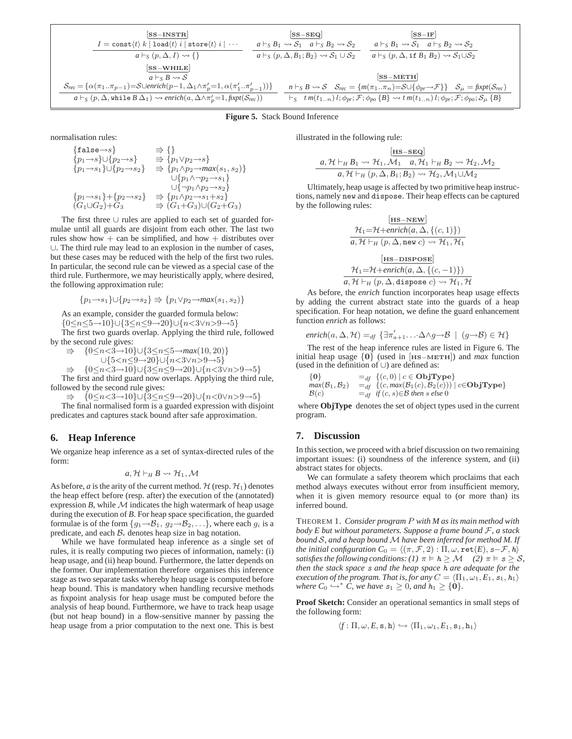$$
\frac{[SS-INSTR]}{a \vdash_S (p, \Delta, I) \leadsto \{\}} \frac{[SS-ISCR]}{a \vdash_S (p, \Delta, I) \leadsto \{\}} \frac{[SS-ISR]}{a \vdash_S (p, \Delta, B_1; B_2) \leadsto S_1 \quad a \vdash_S B_2 \leadsto S_2}{a \vdash_S (p, \Delta, B_1; B_2) \leadsto S_1 \cup S_2} \frac{[SS-IF]}{a \vdash_S (p, \Delta, if B_1 B_2) \leadsto S_1 \cup S_2}
$$
\n
$$
\frac{[SS-WHILE]}{a \vdash_S B \leadsto S} \frac{[SS-WHILE]}{a \vdash_S (p, \Delta, if B_1 B_2) \leadsto S_1 \cup S_2}
$$
\n
$$
\frac{[SS-WHILE]}{a \vdash_S B \leadsto S} \frac{[SS-METH]}{a \vdash_S (p, \Delta, if B_1 B_2) \leadsto S_1 \cup S_2}
$$
\n
$$
\frac{[SS-METH]}{a \vdash_S (p, \Delta, while B \Delta_1) \leadsto enrich(a, \Delta \wedge \pi_p' = 1, f \text{hyp}(S_{rec}))} \frac{[SS-METH]}{S} \frac{[SS-METH]}{S} \frac{[SS-METH]}{S} \frac{[SS-METH]}{S} \frac{[SS-METH]}{S} \frac{[SS-METH]}{S} \frac{[SS-METH]}{S} \frac{[SS-METH]}{S} \frac{[SS-METH]}{S} \frac{[SS-METH]}{S} \frac{[SS-METH]}{S} \frac{[SS-METH]}{S} \frac{[SS-METH]}{S} \frac{[SS-METH]}{S} \frac{[SS-METH]}{S} \frac{[SS-METH]}{S} \frac{[SS-METH]}{S} \frac{[SS-METH]}{S} \frac{[SS-METH]}{S} \frac{[SS-METH]}{S} \frac{[SS-METH]}{S} \frac{[SS-METH]}{S} \frac{[SS-METH]}{S} \frac{[SS-METH]}{S} \frac{[SS-METH]}{S} \frac{[SS-METH]}{S} \frac{[SS-METH]}{S} \frac{[SS-METH]}{S} \frac{[SS-MWH]}{S} \frac{[SS-MWH]}{S} \frac{[SS-MWH]}{S} \frac{[SS-MWH]}{S} \frac{[SS-MWH]}{S} \frac{[SS-MWH]}{S}
$$

**Figure 5.** Stack Bound Inference

normalisation rules:

$$
\begin{array}{ll}\n\{\text{false} \rightarrow s\} & \Rightarrow \{\} \\
\{p_1 \rightarrow s\} \cup \{p_2 \rightarrow s\} & \Rightarrow \{p_1 \lor p_2 \rightarrow s\} \\
\{p_1 \rightarrow s_1\} \cup \{p_2 \rightarrow s_2\} & \Rightarrow \{p_1 \land p_2 \rightarrow max(s_1, s_2)\} \\
& \cup \{p_1 \land \neg p_2 \rightarrow s_1\} \\
& \cup \{\neg p_1 \land p_2 \rightarrow s_2\} \\
\{p_1 \rightarrow s_1\} + \{p_2 \rightarrow s_2\} & \Rightarrow \{p_1 \land p_2 \rightarrow s_1 + s_2\} \\
(G_1 \cup G_2) + G_3 & \Rightarrow (G_1 + G_3) \cup (G_2 + G_3)\n\end{array}
$$

The first three ∪ rules are applied to each set of guarded formulae until all guards are disjoint from each other. The last two rules show how  $+$  can be simplified, and how  $+$  distributes over ∪. The third rule may lead to an explosion in the number of cases, but these cases may be reduced with the help of the first two rules. In particular, the second rule can be viewed as a special case of the third rule. Furthermore, we may heuristically apply, where desired, the following approximation rule:

$$
{p_1 \rightarrow s_1} \cup {p_2 \rightarrow s_2} \Rightarrow {p_1 \lor p_2 \rightarrow max(s_1, s_2)}
$$

As an example, consider the guarded formula below:

{0≤n≤5→10}∪{3≤n≤9→20}∪{n<3∨n>9→5}

The first two guards overlap. Applying the third rule, followed by the second rule gives:

⇛ {0≤n<3→10}∪{3≤n≤5→*max*(10, 20)}

∪{5<n≤9→20}∪{n<3∨n>9→5}

 $\Rightarrow \{0 \le n < 3 \rightarrow 10\} \cup \{3 \le n \le 9 \rightarrow 20\} \cup \{n < 3 \lor n > 9 \rightarrow 5\}$ The first and third guard now overlaps. Applying the third rule, followed by the second rule gives:

⇛ {0≤n<3→10}∪{3≤n≤9→20}∪{n<0∨n>9→5}

The final normalised form is a guarded expression with disjoint predicates and captures stack bound after safe approximation.

# **6. Heap Inference**

We organize heap inference as a set of syntax-directed rules of the form:

$$
a,\mathcal{H}\vdash_H B\leadsto\mathcal{H}_1,\mathcal{M}
$$

As before, *a* is the arity of the current method.  $H$  (resp.  $H_1$ ) denotes the heap effect before (resp. after) the execution of the (annotated) expression *B*, while  $M$  indicates the high watermark of heap usage during the execution of *B*. For heap space specification, the guarded formulae is of the form  ${g_1 \rightarrow B_1, g_2 \rightarrow B_2, \ldots}$ , where each  $g_i$  is a predicate, and each  $B_i$  denotes heap size in bag notation.

While we have formulated heap inference as a single set of rules, it is really computing two pieces of information, namely: (i) heap usage, and (ii) heap bound. Furthermore, the latter depends on the former. Our implementation therefore organises this inference stage as two separate tasks whereby heap usage is computed before heap bound. This is mandatory when handling recursive methods as fixpoint analysis for heap usage must be computed before the analysis of heap bound. Furthermore, we have to track heap usage (but not heap bound) in a flow-sensitive manner by passing the heap usage from a prior computation to the next one. This is best illustrated in the following rule:

$$
\frac{\begin{bmatrix}\n\text{[HS-SEQ] } \\
a, \mathcal{H} \vdash_H B_1 \leadsto \mathcal{H}_1, \mathcal{M}_1 & a, \mathcal{H}_1 \vdash_H B_2 \leadsto \mathcal{H}_2, \mathcal{M}_2\n\end{bmatrix}}{a, \mathcal{H} \vdash_H (p, \Delta, B_1; B_2) \leadsto \mathcal{H}_2, \mathcal{M}_1 \cup \mathcal{M}_2}
$$

Ultimately, heap usage is affected by two primitive heap instructions, namely new and dispose. Their heap effects can be captured by the following rules:

$$
\frac{\text{[HS-NEW]}}{a, \mathcal{H} \vdash_H + \text{enrich}(a, \Delta, \{(c, 1)\})}
$$
\n
$$
\frac{}{a, \mathcal{H} \vdash_H (p, \Delta, \text{new } c) \rightsquigarrow \mathcal{H}_1, \mathcal{H}_1}
$$
\n
$$
\frac{\text{[HS-DISPOSE]}}{a, \mathcal{H} \vdash_H (\text{p}, \Delta, \text{dispose } c) \rightsquigarrow \mathcal{H}_1, \mathcal{H}_1}
$$

As before, the *enrich* function incorporates heap usage effects by adding the current abstract state into the guards of a heap specification. For heap notation, we define the guard enhancement function *enrich* as follows:

$$
enrich(a, \Delta, \mathcal{H}) =_{df} \{\exists \pi'_{a+1} \dots \Delta \land g \rightarrow \mathcal{B} \mid (g \rightarrow \mathcal{B}) \in \mathcal{H}\}\
$$

The rest of the heap inference rules are listed in Figure 6. The initial heap usage {0} (used in [HS−METH]) and *max* function (used in the definition of ∪) are defined as:

$$
\{0\} = df \{(c, 0) | c \in \text{ObjType}\}\
$$
  
\n
$$
max(B_1, B_2) = df \{(c, max(B_1(c), B_2(c))) | c \in \text{ObjType}\}\
$$
  
\n
$$
B(c) = df \text{ if } (c, s) \in B \text{ then } s \text{ else } 0
$$

where **ObjType** denotes the set of object types used in the current program.

# **7. Discussion**

In this section, we proceed with a brief discussion on two remaining important issues: (i) soundness of the inference system, and (ii) abstract states for objects.

We can formulate a safety theorem which proclaims that each method always executes without error from insufficient memory, when it is given memory resource equal to (or more than) its inferred bound.

THEOREM 1. *Consider program* P *with M as its main method with body E but without parameters. Suppose a frame bound* F*, a stack bound* S, and a heap bound M have been inferred for method M. If *the initial configuration*  $C_0 = \langle (\pi, \mathcal{F}, 2) : \Pi, \omega, \text{ret}(E), s-\mathcal{F}, h \rangle$ *satisfies the following conditions: (1)*  $\pi \models h \geq \mathcal{M}$  *(2)*  $\pi \models s \geq \mathcal{S}$ *, then the stack space* s *and the heap space* h *are adequate for the execution of the program. That is, for any*  $C = \langle \Pi_1, \omega_1, E_1, s_1, h_1 \rangle$ *where*  $C_0 \hookrightarrow^* C$ *, we have*  $s_1 \geq 0$ *, and*  $h_1 \geq \{0\}$ *.* 

**Proof Sketch:** Consider an operational semantics in small steps of the following form:

$$
\langle f: \Pi, \omega, E, \mathbf{s}, \mathbf{h} \rangle \hookrightarrow \langle \Pi_1, \omega_1, E_1, \mathbf{s}_1, \mathbf{h}_1 \rangle
$$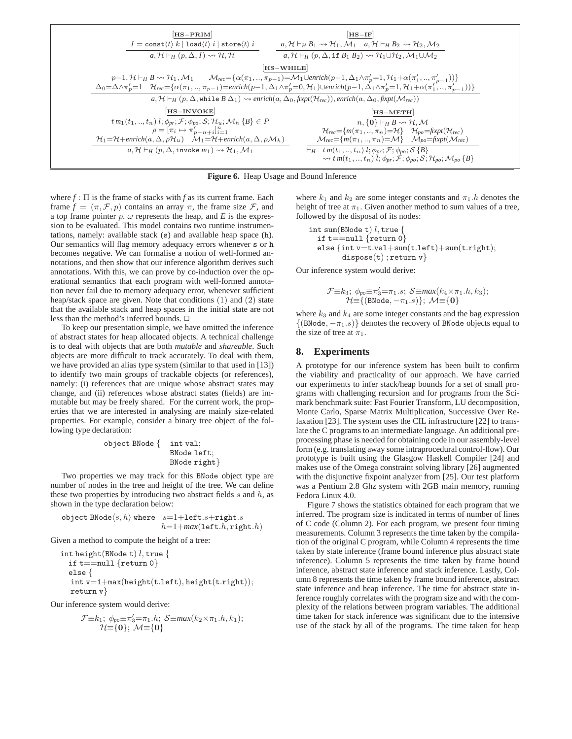

**Figure 6.** Heap Usage and Bound Inference

where *f* : Π is the frame of stacks with *f* as its current frame. Each frame  $f = (\pi, \mathcal{F}, p)$  contains an array  $\pi$ , the frame size  $\mathcal{F}$ , and a top frame pointer  $p. \omega$  represents the heap, and  $E$  is the expression to be evaluated. This model contains two runtime instrumentations, namely: available stack (s) and available heap space (h). Our semantics will flag memory adequacy errors whenever s or h becomes negative. We can formalise a notion of well-formed annotations, and then show that our inference algorithm derives such annotations. With this, we can prove by co-induction over the operational semantics that each program with well-formed annotation never fail due to memory adequacy error, whenever sufficient heap/stack space are given. Note that conditions (1) and (2) state that the available stack and heap spaces in the initial state are not less than the method's inferred bounds.  $\Box$ 

To keep our presentation simple, we have omitted the inference of abstract states for heap allocated objects. A technical challenge is to deal with objects that are both *mutable* and *shareable*. Such objects are more difficult to track accurately. To deal with them, we have provided an alias type system (similar to that used in [13]) to identify two main groups of trackable objects (or references), namely: (i) references that are unique whose abstract states may change, and (ii) references whose abstract states (fields) are immutable but may be freely shared. For the current work, the properties that we are interested in analysing are mainly size-related properties. For example, consider a binary tree object of the following type declaration:

object BNode { int val; BNode left; BNode right}

Two properties we may track for this BNode object type are number of nodes in the tree and height of the tree. We can define these two properties by introducing two abstract fields  $s$  and  $h$ , as shown in the type declaration below:

object BNode $\langle s, h \rangle$  where  $s=1+\text{left}.s+\text{right}.s$  $h=1+max($ left.h, right.h)

Given a method to compute the height of a tree:

$$
\begin{array}{l} \text{int height}(\texttt{BNode } t) \text{ } l, \texttt{true} \text{ } \{ \\ \text{ if } t == \texttt{null} \text{ } \{ \texttt{return } 0 \} \\ \text{ else } \{ \\ \text{ int } v = 1 + \texttt{max}(\texttt{height}(t.\texttt{left}), \texttt{height}(t.\texttt{right})); \\ \text{ return } v \} \end{array}
$$

Our inference system would derive:

$$
\mathcal{F}\equiv k_1; \ \phi_{po} \equiv \pi'_3 = \pi_1.h; \ \mathcal{S}\equiv max(k_2 \times \pi_1.h, k_1); \mathcal{H}\equiv\{\mathbf{0}\}; \ \mathcal{M}\equiv\{\mathbf{0}\}
$$

where  $k_1$  and  $k_2$  are some integer constants and  $\pi_1.h$  denotes the height of tree at  $\pi_1$ . Given another method to sum values of a tree, followed by the disposal of its nodes:

int sum(BNode t) l, true { if t==null {return 0} else {int v=t.val+sum(t.left)+sum(t.right); dispose(t) ; return v}

Our inference system would derive:

$$
\mathcal{F}\equiv k_3; \ \phi_{po}\equiv \pi'_3 = \pi_1.s; \ \mathcal{S}\equiv max(k_4 \times \pi_1.h, k_3);\mathcal{H}\equiv \{(\text{BNode}, -\pi_1.s)\}; \ \mathcal{M}\equiv \{0\}
$$

where  $k_3$  and  $k_4$  are some integer constants and the bag expression  $\{(\text{BNode}, -\pi_1.s)\}\)$  denotes the recovery of BNode objects equal to the size of tree at  $\pi_1$ .

# **8. Experiments**

A prototype for our inference system has been built to confirm the viability and practicality of our approach. We have carried our experiments to infer stack/heap bounds for a set of small programs with challenging recursion and for programs from the Scimark benchmark suite: Fast Fourier Transform, LU decomposition, Monte Carlo, Sparse Matrix Multiplication, Successive Over Relaxation [23]. The system uses the CIL infrastructure [22] to translate the C programs to an intermediate language. An additional preprocessing phase is needed for obtaining code in our assembly-level form (e.g. translating away some intraprocedural control-flow). Our prototype is built using the Glasgow Haskell Compiler [24] and makes use of the Omega constraint solving library [26] augmented with the disjunctive fixpoint analyzer from [25]. Our test platform was a Pentium 2.8 Ghz system with 2GB main memory, running Fedora Linux 4.0.

Figure 7 shows the statistics obtained for each program that we inferred. The program size is indicated in terms of number of lines of C code (Column 2). For each program, we present four timing measurements. Column 3 represents the time taken by the compilation of the original C program, while Column 4 represents the time taken by state inference (frame bound inference plus abstract state inference). Column 5 represents the time taken by frame bound inference, abstract state inference and stack inference. Lastly, Column 8 represents the time taken by frame bound inference, abstract state inference and heap inference. The time for abstract state inference roughly correlates with the program size and with the complexity of the relations between program variables. The additional time taken for stack inference was significant due to the intensive use of the stack by all of the programs. The time taken for heap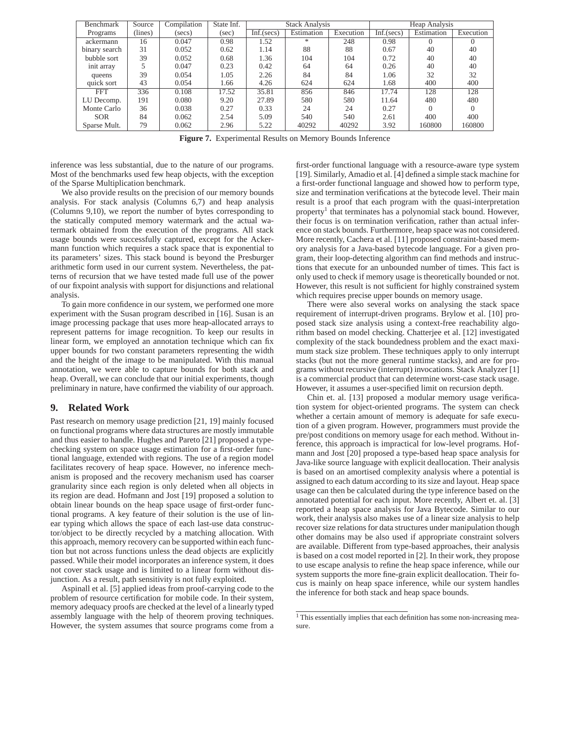| Benchmark     | Source  | Compilation | State Inf. | <b>Stack Analysis</b> |            |           | Heap Analysis |            |           |
|---------------|---------|-------------|------------|-----------------------|------------|-----------|---------------|------------|-----------|
| Programs      | (lines) | $(\sec s)$  | (sec)      | Inf.(secs)            | Estimation | Execution | Inf.(secs)    | Estimation | Execution |
| ackermann     | 16      | 0.047       | 0.98       | 1.52                  | *          | 248       | 0.98          |            |           |
| binary search | 31      | 0.052       | 0.62       | 1.14                  | 88         | 88        | 0.67          | 40         | 40        |
| bubble sort   | 39      | 0.052       | 0.68       | 1.36                  | 104        | 104       | 0.72          | 40         | 40        |
| init array    |         | 0.047       | 0.23       | 0.42                  | 64         | 64        | 0.26          | 40         | 40        |
| queens        | 39      | 0.054       | 1.05       | 2.26                  | 84         | 84        | 1.06          | 32         | 32        |
| quick sort    | 43      | 0.054       | 1.66       | 4.26                  | 624        | 624       | 1.68          | 400        | 400       |
| <b>FFT</b>    | 336     | 0.108       | 17.52      | 35.81                 | 856        | 846       | 17.74         | 128        | 128       |
| LU Decomp.    | 191     | 0.080       | 9.20       | 27.89                 | 580        | 580       | 11.64         | 480        | 480       |
| Monte Carlo   | 36      | 0.038       | 0.27       | 0.33                  | 24         | 24        | 0.27          |            |           |
| <b>SOR</b>    | 84      | 0.062       | 2.54       | 5.09                  | 540        | 540       | 2.61          | 400        | 400       |
| Sparse Mult.  | 79      | 0.062       | 2.96       | 5.22                  | 40292      | 40292     | 3.92          | 160800     | 160800    |

**Figure 7.** Experimental Results on Memory Bounds Inference

inference was less substantial, due to the nature of our programs. Most of the benchmarks used few heap objects, with the exception of the Sparse Multiplication benchmark.

We also provide results on the precision of our memory bounds analysis. For stack analysis (Columns 6,7) and heap analysis (Columns 9,10), we report the number of bytes corresponding to the statically computed memory watermark and the actual watermark obtained from the execution of the programs. All stack usage bounds were successfully captured, except for the Ackermann function which requires a stack space that is exponential to its parameters' sizes. This stack bound is beyond the Presburger arithmetic form used in our current system. Nevertheless, the patterns of recursion that we have tested made full use of the power of our fixpoint analysis with support for disjunctions and relational analysis.

To gain more confidence in our system, we performed one more experiment with the Susan program described in [16]. Susan is an image processing package that uses more heap-allocated arrays to represent patterns for image recognition. To keep our results in linear form, we employed an annotation technique which can fix upper bounds for two constant parameters representing the width and the height of the image to be manipulated. With this manual annotation, we were able to capture bounds for both stack and heap. Overall, we can conclude that our initial experiments, though preliminary in nature, have confirmed the viability of our approach.

## **9. Related Work**

Past research on memory usage prediction [21, 19] mainly focused on functional programs where data structures are mostly immutable and thus easier to handle. Hughes and Pareto [21] proposed a typechecking system on space usage estimation for a first-order functional language, extended with regions. The use of a region model facilitates recovery of heap space. However, no inference mechanism is proposed and the recovery mechanism used has coarser granularity since each region is only deleted when all objects in its region are dead. Hofmann and Jost [19] proposed a solution to obtain linear bounds on the heap space usage of first-order functional programs. A key feature of their solution is the use of linear typing which allows the space of each last-use data constructor/object to be directly recycled by a matching allocation. With this approach, memory recovery can be supported within each function but not across functions unless the dead objects are explicitly passed. While their model incorporates an inference system, it does not cover stack usage and is limited to a linear form without disjunction. As a result, path sensitivity is not fully exploited.

Aspinall et al. [5] applied ideas from proof-carrying code to the problem of resource certification for mobile code. In their system, memory adequacy proofs are checked at the level of a linearly typed assembly language with the help of theorem proving techniques. However, the system assumes that source programs come from a

first-order functional language with a resource-aware type system [19]. Similarly, Amadio et al. [4] defined a simple stack machine for a first-order functional language and showed how to perform type, size and termination verifications at the bytecode level. Their main result is a proof that each program with the quasi-interpretation property<sup>1</sup> that terminates has a polynomial stack bound. However, their focus is on termination verification, rather than actual inference on stack bounds. Furthermore, heap space was not considered. More recently, Cachera et al. [11] proposed constraint-based memory analysis for a Java-based bytecode language. For a given program, their loop-detecting algorithm can find methods and instructions that execute for an unbounded number of times. This fact is only used to check if memory usage is theoretically bounded or not. However, this result is not sufficient for highly constrained system which requires precise upper bounds on memory usage.

There were also several works on analysing the stack space requirement of interrupt-driven programs. Brylow et al. [10] proposed stack size analysis using a context-free reachability algorithm based on model checking. Chatterjee et al. [12] investigated complexity of the stack boundedness problem and the exact maximum stack size problem. These techniques apply to only interrupt stacks (but not the more general runtime stacks), and are for programs without recursive (interrupt) invocations. Stack Analyzer [1] is a commercial product that can determine worst-case stack usage. However, it assumes a user-specified limit on recursion depth.

Chin et. al. [13] proposed a modular memory usage verification system for object-oriented programs. The system can check whether a certain amount of memory is adequate for safe execution of a given program. However, programmers must provide the pre/post conditions on memory usage for each method. Without inference, this approach is impractical for low-level programs. Hofmann and Jost [20] proposed a type-based heap space analysis for Java-like source language with explicit deallocation. Their analysis is based on an amortised complexity analysis where a potential is assigned to each datum according to its size and layout. Heap space usage can then be calculated during the type inference based on the annotated potential for each input. More recently, Albert et. al. [3] reported a heap space analysis for Java Bytecode. Similar to our work, their analysis also makes use of a linear size analysis to help recover size relations for data structures under manipulation though other domains may be also used if appropriate constraint solvers are available. Different from type-based approaches, their analysis is based on a cost model reported in [2]. In their work, they propose to use escape analysis to refine the heap space inference, while our system supports the more fine-grain explicit deallocation. Their focus is mainly on heap space inference, while our system handles the inference for both stack and heap space bounds.

<sup>&</sup>lt;sup>1</sup> This essentially implies that each definition has some non-increasing measure.